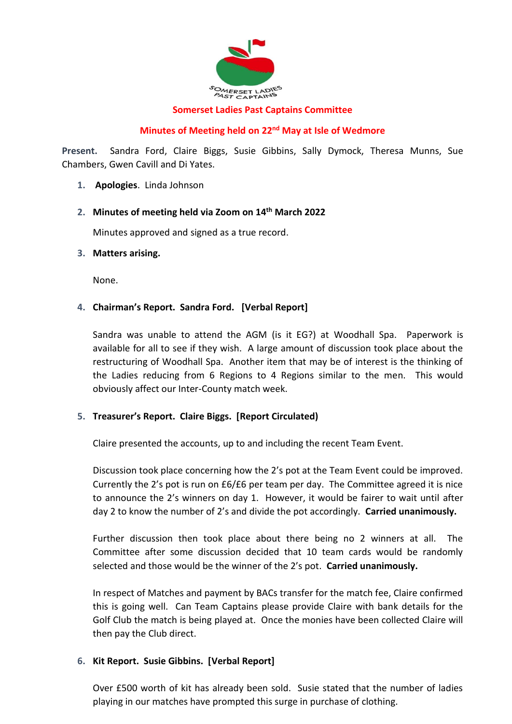

#### **Somerset Ladies Past Captains Committee**

## **Minutes of Meeting held on 22nd May at Isle of Wedmore**

**Present.** Sandra Ford, Claire Biggs, Susie Gibbins, Sally Dymock, Theresa Munns, Sue Chambers, Gwen Cavill and Di Yates.

**1. Apologies**. Linda Johnson

#### **2. Minutes of meeting held via Zoom on 14th March 2022**

Minutes approved and signed as a true record.

#### **3. Matters arising.**

None.

## **4. Chairman's Report. Sandra Ford. [Verbal Report]**

Sandra was unable to attend the AGM (is it EG?) at Woodhall Spa. Paperwork is available for all to see if they wish. A large amount of discussion took place about the restructuring of Woodhall Spa. Another item that may be of interest is the thinking of the Ladies reducing from 6 Regions to 4 Regions similar to the men. This would obviously affect our Inter-County match week.

## **5. Treasurer's Report. Claire Biggs. [Report Circulated)**

Claire presented the accounts, up to and including the recent Team Event.

Discussion took place concerning how the 2's pot at the Team Event could be improved. Currently the 2's pot is run on £6/£6 per team per day. The Committee agreed it is nice to announce the 2's winners on day 1. However, it would be fairer to wait until after day 2 to know the number of 2's and divide the pot accordingly. **Carried unanimously.**

Further discussion then took place about there being no 2 winners at all. The Committee after some discussion decided that 10 team cards would be randomly selected and those would be the winner of the 2's pot. **Carried unanimously.**

In respect of Matches and payment by BACs transfer for the match fee, Claire confirmed this is going well. Can Team Captains please provide Claire with bank details for the Golf Club the match is being played at. Once the monies have been collected Claire will then pay the Club direct.

## **6. Kit Report. Susie Gibbins. [Verbal Report]**

Over £500 worth of kit has already been sold. Susie stated that the number of ladies playing in our matches have prompted this surge in purchase of clothing.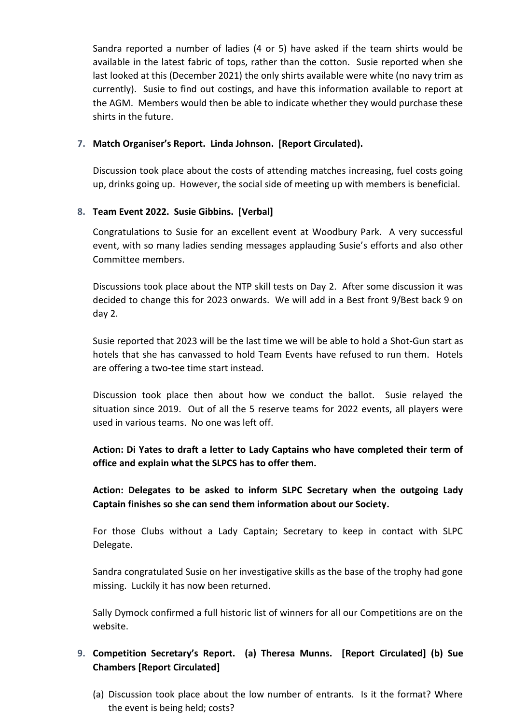Sandra reported a number of ladies (4 or 5) have asked if the team shirts would be available in the latest fabric of tops, rather than the cotton. Susie reported when she last looked at this (December 2021) the only shirts available were white (no navy trim as currently). Susie to find out costings, and have this information available to report at the AGM. Members would then be able to indicate whether they would purchase these shirts in the future.

#### **7. Match Organiser's Report. Linda Johnson. [Report Circulated).**

Discussion took place about the costs of attending matches increasing, fuel costs going up, drinks going up. However, the social side of meeting up with members is beneficial.

#### **8. Team Event 2022. Susie Gibbins. [Verbal]**

Congratulations to Susie for an excellent event at Woodbury Park. A very successful event, with so many ladies sending messages applauding Susie's efforts and also other Committee members.

Discussions took place about the NTP skill tests on Day 2. After some discussion it was decided to change this for 2023 onwards. We will add in a Best front 9/Best back 9 on day 2.

Susie reported that 2023 will be the last time we will be able to hold a Shot-Gun start as hotels that she has canvassed to hold Team Events have refused to run them. Hotels are offering a two-tee time start instead.

Discussion took place then about how we conduct the ballot. Susie relayed the situation since 2019. Out of all the 5 reserve teams for 2022 events, all players were used in various teams. No one was left off.

**Action: Di Yates to draft a letter to Lady Captains who have completed their term of office and explain what the SLPCS has to offer them.** 

**Action: Delegates to be asked to inform SLPC Secretary when the outgoing Lady Captain finishes so she can send them information about our Society.**

For those Clubs without a Lady Captain; Secretary to keep in contact with SLPC Delegate.

Sandra congratulated Susie on her investigative skills as the base of the trophy had gone missing. Luckily it has now been returned.

Sally Dymock confirmed a full historic list of winners for all our Competitions are on the website.

# **9. Competition Secretary's Report. (a) Theresa Munns. [Report Circulated] (b) Sue Chambers [Report Circulated]**

(a) Discussion took place about the low number of entrants. Is it the format? Where the event is being held; costs?